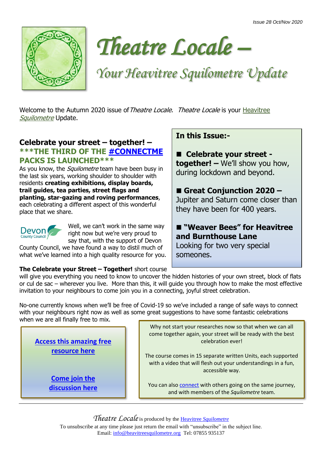



# *Your Heavitree Squilometre Update*

Welcome to the Autumn 2020 issue of Theatre Locale. Theatre Locale is your Heavitree [Squilometre](http://www.heavitreesquilometre.org/) Update.

#### **Celebrate your street – together! – \*\*\*THE THIRD OF THE [#CONNECTME](http://www.interwovenproductions.com/connectme.html) PACKS IS LAUNCHED\*\*\***

As you know, the *Squilometre* team have been busy in the last six years, working shoulder to shoulder with residents **creating exhibitions, display boards, trail guides, tea parties, street flags and planting, star-gazing and roving performances**, each celebrating a different aspect of this wonderful place that we share.



Well, we can't work in the same way right now but we're very proud to say that, with the support of Devon

County Council, we have found a way to distil much of what we've learned into a high quality resource for you.

## **In this Issue:-**

■ Celebrate your street **together! –** We'll show you how, during lockdown and beyond.

#### ■ Great Conjunction 2020 –

Jupiter and Saturn come closer than they have been for 400 years.

#### ■ **"Weaver Bees" for Heavitree and Burnthouse Lane**

Looking for two very special someones.

#### **The Celebrate your Street – Together!** short course

will give you everything you need to know to uncover the hidden histories of your own street, block of flats or cul de sac – wherever you live. More than this, it will guide you through how to make the most effective invitation to your neighbours to come join you in a connecting, joyful street celebration.

No-one currently knows when we'll be free of Covid-19 so we've included a range of safe ways to connect with your neighbours right now as well as some great suggestions to have some fantastic celebrations when we are all finally free to mix.

**[Access this amazing free](http://www.interwovenproductions.com/connectme.html)  [resource here](http://www.interwovenproductions.com/connectme.html)**

> **[Come join the](https://www.facebook.com/groups/781171289094941) [discussion here](https://www.facebook.com/groups/781171289094941)**

Why not start your researches now so that when we can all come together again, your street will be ready with the best celebration ever!

The course comes in 15 separate written Units, each supported with a video that will flesh out your understandings in a fun, accessible way.

You can also [connect](https://www.facebook.com/groups/781171289094941) with others going on the same journey, and with members of the *Squilometre* team.

*Theatre Locale*is produced by the Heavitree *[Squilometre](http://www.heavitreesquilometre.org/)* To unsubscribe at any time please just return the email with "unsubscribe" in the subject line. Email: [info@heavitreesquilometre.org](mailto:info@heavitreesquilometre.org) Tel: 07855 935137